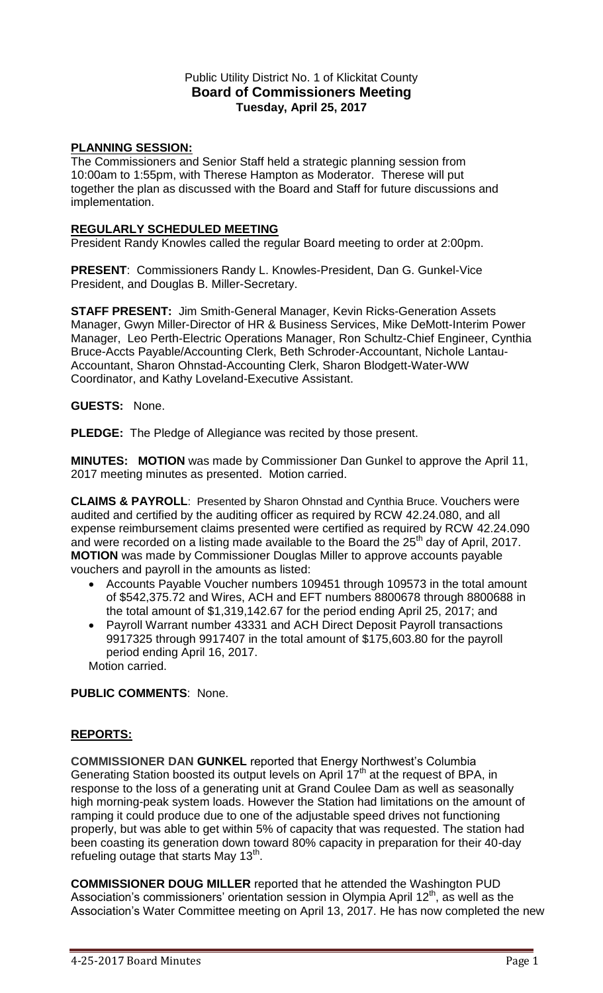# Public Utility District No. 1 of Klickitat County **Board of Commissioners Meeting Tuesday, April 25, 2017**

# **PLANNING SESSION:**

The Commissioners and Senior Staff held a strategic planning session from 10:00am to 1:55pm, with Therese Hampton as Moderator. Therese will put together the plan as discussed with the Board and Staff for future discussions and implementation.

## **REGULARLY SCHEDULED MEETING**

President Randy Knowles called the regular Board meeting to order at 2:00pm.

**PRESENT**: Commissioners Randy L. Knowles-President, Dan G. Gunkel-Vice President, and Douglas B. Miller-Secretary.

**STAFF PRESENT:** Jim Smith-General Manager, Kevin Ricks-Generation Assets Manager, Gwyn Miller-Director of HR & Business Services, Mike DeMott-Interim Power Manager, Leo Perth-Electric Operations Manager, Ron Schultz-Chief Engineer, Cynthia Bruce-Accts Payable/Accounting Clerk, Beth Schroder-Accountant, Nichole Lantau-Accountant, Sharon Ohnstad-Accounting Clerk, Sharon Blodgett-Water-WW Coordinator, and Kathy Loveland-Executive Assistant.

#### **GUESTS:** None.

**PLEDGE:** The Pledge of Allegiance was recited by those present.

**MINUTES: MOTION** was made by Commissioner Dan Gunkel to approve the April 11, 2017 meeting minutes as presented. Motion carried.

**CLAIMS & PAYROLL**: Presented by Sharon Ohnstad and Cynthia Bruce. Vouchers were audited and certified by the auditing officer as required by RCW 42.24.080, and all expense reimbursement claims presented were certified as required by RCW 42.24.090 and were recorded on a listing made available to the Board the 25<sup>th</sup> day of April, 2017. **MOTION** was made by Commissioner Douglas Miller to approve accounts payable vouchers and payroll in the amounts as listed:

- Accounts Payable Voucher numbers 109451 through 109573 in the total amount of \$542,375.72 and Wires, ACH and EFT numbers 8800678 through 8800688 in the total amount of \$1,319,142.67 for the period ending April 25, 2017; and
- Payroll Warrant number 43331 and ACH Direct Deposit Payroll transactions 9917325 through 9917407 in the total amount of \$175,603.80 for the payroll period ending April 16, 2017.

Motion carried.

### **PUBLIC COMMENTS**: None.

# **REPORTS:**

**COMMISSIONER DAN GUNKEL** reported that Energy Northwest's Columbia Generating Station boosted its output levels on April 17<sup>th</sup> at the request of BPA, in response to the loss of a generating unit at Grand Coulee Dam as well as seasonally high morning-peak system loads. However the Station had limitations on the amount of ramping it could produce due to one of the adjustable speed drives not functioning properly, but was able to get within 5% of capacity that was requested. The station had been coasting its generation down toward 80% capacity in preparation for their 40-day refueling outage that starts May 13<sup>th</sup>.

**COMMISSIONER DOUG MILLER** reported that he attended the Washington PUD Association's commissioners' orientation session in Olympia April  $12<sup>th</sup>$ , as well as the Association's Water Committee meeting on April 13, 2017. He has now completed the new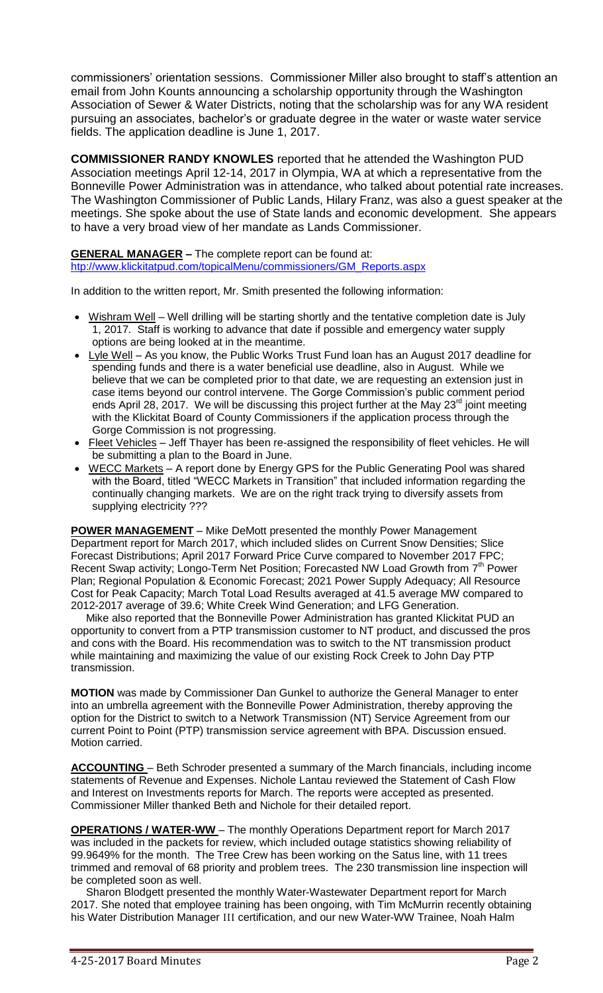commissioners' orientation sessions. Commissioner Miller also brought to staff's attention an email from John Kounts announcing a scholarship opportunity through the Washington Association of Sewer & Water Districts, noting that the scholarship was for any WA resident pursuing an associates, bachelor's or graduate degree in the water or waste water service fields. The application deadline is June 1, 2017.

**COMMISSIONER RANDY KNOWLES** reported that he attended the Washington PUD Association meetings April 12-14, 2017 in Olympia, WA at which a representative from the Bonneville Power Administration was in attendance, who talked about potential rate increases. The Washington Commissioner of Public Lands, Hilary Franz, was also a guest speaker at the meetings. She spoke about the use of State lands and economic development. She appears to have a very broad view of her mandate as Lands Commissioner.

#### **GENERAL MANAGER –** The complete report can be found at:

[htp://www.klickitatpud.com/topicalMenu/commissioners/GM\\_Reports.aspx](http://www.klickitatpud.com/topicalMenu/commissioners/GM_Reports.aspx)

In addition to the written report, Mr. Smith presented the following information:

- Wishram Well Well drilling will be starting shortly and the tentative completion date is July 1, 2017. Staff is working to advance that date if possible and emergency water supply options are being looked at in the meantime.
- Lyle Well As you know, the Public Works Trust Fund loan has an August 2017 deadline for spending funds and there is a water beneficial use deadline, also in August. While we believe that we can be completed prior to that date, we are requesting an extension just in case items beyond our control intervene. The Gorge Commission's public comment period ends April 28, 2017. We will be discussing this project further at the May 23<sup>rd</sup> joint meeting with the Klickitat Board of County Commissioners if the application process through the Gorge Commission is not progressing.
- Fleet Vehicles Jeff Thayer has been re-assigned the responsibility of fleet vehicles. He will be submitting a plan to the Board in June.
- WECC Markets A report done by Energy GPS for the Public Generating Pool was shared with the Board, titled "WECC Markets in Transition" that included information regarding the continually changing markets. We are on the right track trying to diversify assets from supplying electricity ???

**POWER MANAGEMENT** – Mike DeMott presented the monthly Power Management Department report for March 2017, which included slides on Current Snow Densities; Slice Forecast Distributions; April 2017 Forward Price Curve compared to November 2017 FPC; Recent Swap activity; Longo-Term Net Position; Forecasted NW Load Growth from 7<sup>th</sup> Power Plan; Regional Population & Economic Forecast; 2021 Power Supply Adequacy; All Resource Cost for Peak Capacity; March Total Load Results averaged at 41.5 average MW compared to 2012-2017 average of 39.6; White Creek Wind Generation; and LFG Generation.

 Mike also reported that the Bonneville Power Administration has granted Klickitat PUD an opportunity to convert from a PTP transmission customer to NT product, and discussed the pros and cons with the Board. His recommendation was to switch to the NT transmission product while maintaining and maximizing the value of our existing Rock Creek to John Day PTP transmission.

**MOTION** was made by Commissioner Dan Gunkel to authorize the General Manager to enter into an umbrella agreement with the Bonneville Power Administration, thereby approving the option for the District to switch to a Network Transmission (NT) Service Agreement from our current Point to Point (PTP) transmission service agreement with BPA. Discussion ensued. Motion carried.

**ACCOUNTING** – Beth Schroder presented a summary of the March financials, including income statements of Revenue and Expenses. Nichole Lantau reviewed the Statement of Cash Flow and Interest on Investments reports for March. The reports were accepted as presented. Commissioner Miller thanked Beth and Nichole for their detailed report.

**OPERATIONS / WATER-WW** – The monthly Operations Department report for March 2017 was included in the packets for review, which included outage statistics showing reliability of 99.9649% for the month. The Tree Crew has been working on the Satus line, with 11 trees trimmed and removal of 68 priority and problem trees. The 230 transmission line inspection will be completed soon as well.

 Sharon Blodgett presented the monthly Water-Wastewater Department report for March 2017. She noted that employee training has been ongoing, with Tim McMurrin recently obtaining his Water Distribution Manager III certification, and our new Water-WW Trainee, Noah Halm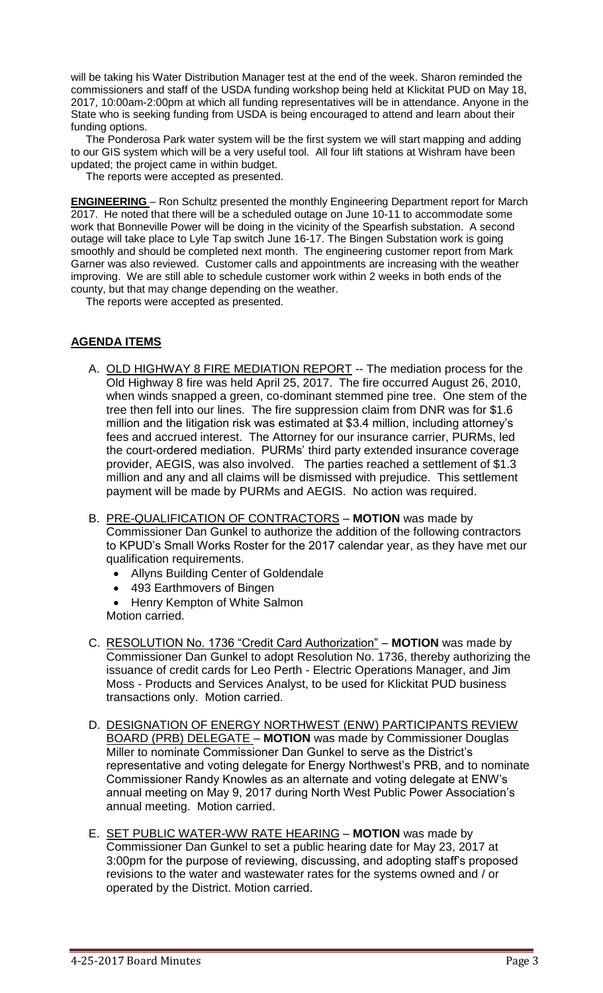will be taking his Water Distribution Manager test at the end of the week. Sharon reminded the commissioners and staff of the USDA funding workshop being held at Klickitat PUD on May 18, 2017, 10:00am-2:00pm at which all funding representatives will be in attendance. Anyone in the State who is seeking funding from USDA is being encouraged to attend and learn about their funding options.

 The Ponderosa Park water system will be the first system we will start mapping and adding to our GIS system which will be a very useful tool. All four lift stations at Wishram have been updated; the project came in within budget.

The reports were accepted as presented.

**ENGINEERING** – Ron Schultz presented the monthly Engineering Department report for March 2017. He noted that there will be a scheduled outage on June 10-11 to accommodate some work that Bonneville Power will be doing in the vicinity of the Spearfish substation. A second outage will take place to Lyle Tap switch June 16-17. The Bingen Substation work is going smoothly and should be completed next month. The engineering customer report from Mark Garner was also reviewed. Customer calls and appointments are increasing with the weather improving. We are still able to schedule customer work within 2 weeks in both ends of the county, but that may change depending on the weather.

The reports were accepted as presented.

# **AGENDA ITEMS**

- A. OLD HIGHWAY 8 FIRE MEDIATION REPORT -- The mediation process for the Old Highway 8 fire was held April 25, 2017. The fire occurred August 26, 2010, when winds snapped a green, co-dominant stemmed pine tree. One stem of the tree then fell into our lines. The fire suppression claim from DNR was for \$1.6 million and the litigation risk was estimated at \$3.4 million, including attorney's fees and accrued interest. The Attorney for our insurance carrier, PURMs, led the court-ordered mediation. PURMs' third party extended insurance coverage provider, AEGIS, was also involved. The parties reached a settlement of \$1.3 million and any and all claims will be dismissed with prejudice. This settlement payment will be made by PURMs and AEGIS. No action was required.
- B. PRE-QUALIFICATION OF CONTRACTORS **MOTION** was made by Commissioner Dan Gunkel to authorize the addition of the following contractors to KPUD's Small Works Roster for the 2017 calendar year, as they have met our qualification requirements.
	- Allyns Building Center of Goldendale
	- 493 Earthmovers of Bingen
	- Henry Kempton of White Salmon
	- Motion carried.
- C. RESOLUTION No. 1736 "Credit Card Authorization" **MOTION** was made by Commissioner Dan Gunkel to adopt Resolution No. 1736, thereby authorizing the issuance of credit cards for Leo Perth - Electric Operations Manager, and Jim Moss - Products and Services Analyst, to be used for Klickitat PUD business transactions only. Motion carried.
- D. DESIGNATION OF ENERGY NORTHWEST (ENW) PARTICIPANTS REVIEW BOARD (PRB) DELEGATE – **MOTION** was made by Commissioner Douglas Miller to nominate Commissioner Dan Gunkel to serve as the District's representative and voting delegate for Energy Northwest's PRB, and to nominate Commissioner Randy Knowles as an alternate and voting delegate at ENW's annual meeting on May 9, 2017 during North West Public Power Association's annual meeting. Motion carried.
- E. SET PUBLIC WATER-WW RATE HEARING **MOTION** was made by Commissioner Dan Gunkel to set a public hearing date for May 23, 2017 at 3:00pm for the purpose of reviewing, discussing, and adopting staff's proposed revisions to the water and wastewater rates for the systems owned and / or operated by the District. Motion carried.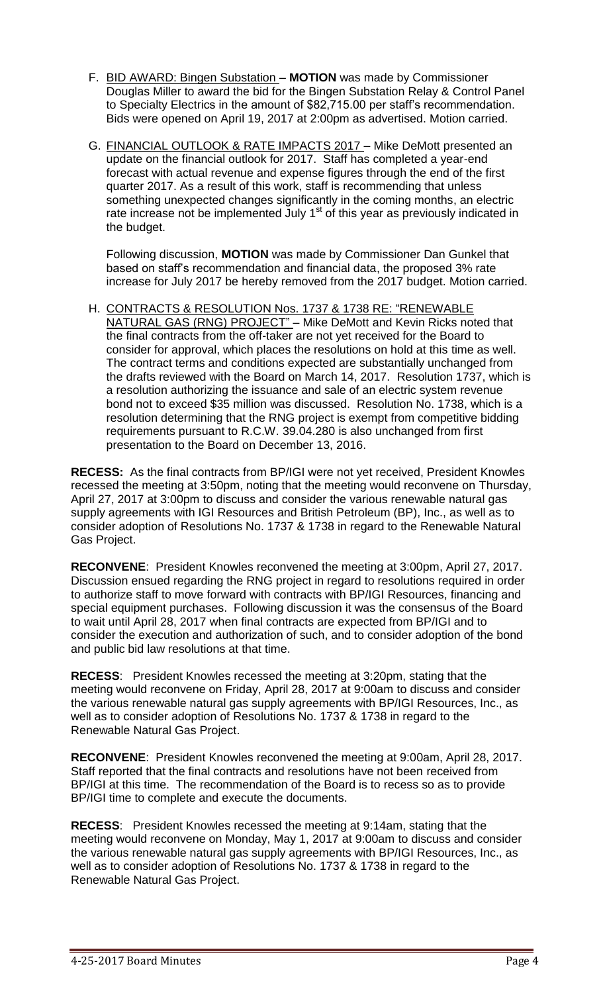- F. BID AWARD: Bingen Substation **MOTION** was made by Commissioner Douglas Miller to award the bid for the Bingen Substation Relay & Control Panel to Specialty Electrics in the amount of \$82,715.00 per staff's recommendation. Bids were opened on April 19, 2017 at 2:00pm as advertised. Motion carried.
- G. FINANCIAL OUTLOOK & RATE IMPACTS 2017 Mike DeMott presented an update on the financial outlook for 2017. Staff has completed a year-end forecast with actual revenue and expense figures through the end of the first quarter 2017. As a result of this work, staff is recommending that unless something unexpected changes significantly in the coming months, an electric rate increase not be implemented July  $1<sup>st</sup>$  of this year as previously indicated in the budget.

Following discussion, **MOTION** was made by Commissioner Dan Gunkel that based on staff's recommendation and financial data, the proposed 3% rate increase for July 2017 be hereby removed from the 2017 budget. Motion carried.

H. CONTRACTS & RESOLUTION Nos. 1737 & 1738 RE: "RENEWABLE NATURAL GAS (RNG) PROJECT" – Mike DeMott and Kevin Ricks noted that the final contracts from the off-taker are not yet received for the Board to consider for approval, which places the resolutions on hold at this time as well. The contract terms and conditions expected are substantially unchanged from the drafts reviewed with the Board on March 14, 2017. Resolution 1737, which is a resolution authorizing the issuance and sale of an electric system revenue bond not to exceed \$35 million was discussed. Resolution No. 1738, which is a resolution determining that the RNG project is exempt from competitive bidding requirements pursuant to R.C.W. 39.04.280 is also unchanged from first presentation to the Board on December 13, 2016.

**RECESS:** As the final contracts from BP/IGI were not yet received, President Knowles recessed the meeting at 3:50pm, noting that the meeting would reconvene on Thursday, April 27, 2017 at 3:00pm to discuss and consider the various renewable natural gas supply agreements with IGI Resources and British Petroleum (BP), Inc., as well as to consider adoption of Resolutions No. 1737 & 1738 in regard to the Renewable Natural Gas Project.

**RECONVENE**: President Knowles reconvened the meeting at 3:00pm, April 27, 2017. Discussion ensued regarding the RNG project in regard to resolutions required in order to authorize staff to move forward with contracts with BP/IGI Resources, financing and special equipment purchases. Following discussion it was the consensus of the Board to wait until April 28, 2017 when final contracts are expected from BP/IGI and to consider the execution and authorization of such, and to consider adoption of the bond and public bid law resolutions at that time.

**RECESS**: President Knowles recessed the meeting at 3:20pm, stating that the meeting would reconvene on Friday, April 28, 2017 at 9:00am to discuss and consider the various renewable natural gas supply agreements with BP/IGI Resources, Inc., as well as to consider adoption of Resolutions No. 1737 & 1738 in regard to the Renewable Natural Gas Project.

**RECONVENE**: President Knowles reconvened the meeting at 9:00am, April 28, 2017. Staff reported that the final contracts and resolutions have not been received from BP/IGI at this time. The recommendation of the Board is to recess so as to provide BP/IGI time to complete and execute the documents.

**RECESS**: President Knowles recessed the meeting at 9:14am, stating that the meeting would reconvene on Monday, May 1, 2017 at 9:00am to discuss and consider the various renewable natural gas supply agreements with BP/IGI Resources, Inc., as well as to consider adoption of Resolutions No. 1737 & 1738 in regard to the Renewable Natural Gas Project.